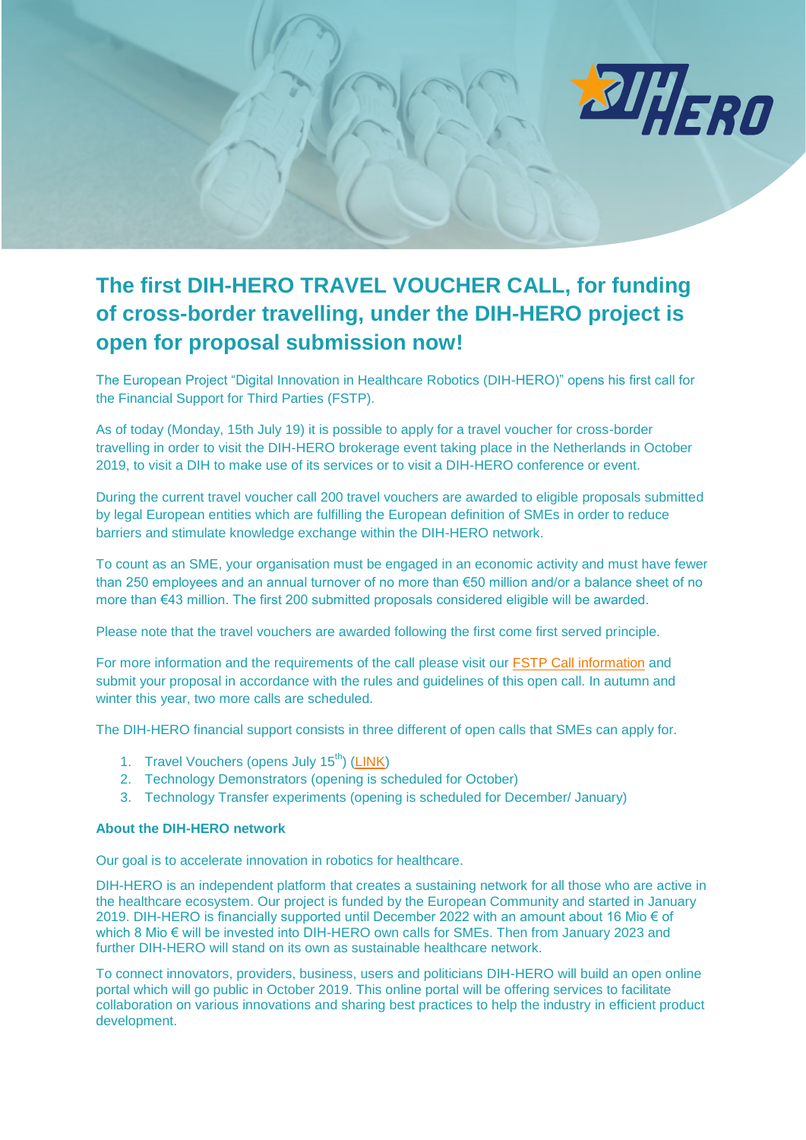

## **The first DIH-HERO TRAVEL VOUCHER CALL, for funding of cross-border travelling, under the DIH-HERO project is open for proposal submission now!**

The European Project "Digital Innovation in Healthcare Robotics (DIH-HERO)" opens his first call for the Financial Support for Third Parties (FSTP).

As of today (Monday, 15th July 19) it is possible to apply for a travel voucher for cross-border travelling in order to visit the DIH-HERO brokerage event taking place in the Netherlands in October 2019, to visit a DIH to make use of its services or to visit a DIH-HERO conference or event.

During the current travel voucher call 200 travel vouchers are awarded to eligible proposals submitted by legal European entities which are fulfilling the European definition of SMEs in order to reduce barriers and stimulate knowledge exchange within the DIH-HERO network.

To count as an SME, your organisation must be engaged in an economic activity and must have fewer than 250 employees and an annual turnover of no more than €50 million and/or a balance sheet of no more than €43 million. The first 200 submitted proposals considered eligible will be awarded.

Please note that the travel vouchers are awarded following the first come first served principle.

For more information and the requirements of the call please visit our [FSTP Call information](https://dih-hero.eu/calls/) and submit your proposal in accordance with the rules and guidelines of this open call. In autumn and winter this year, two more calls are scheduled.

The DIH-HERO financial support consists in three different of open calls that SMEs can apply for.

- 1. Travel Vouchers (opens July 15<sup>th</sup>) [\(LINK\)](https://dih-hero.eu/calls/)
- 2. Technology Demonstrators (opening is scheduled for October)
- 3. Technology Transfer experiments (opening is scheduled for December/ January)

## **About the DIH-HERO network**

Our goal is to accelerate innovation in robotics for healthcare.

DIH-HERO is an independent platform that creates a sustaining network for all those who are active in the healthcare ecosystem. Our project is funded by the European Community and started in January 2019. DIH-HERO is financially supported until December 2022 with an amount about 16 Mio € of which 8 Mio € will be invested into DIH-HERO own calls for SMEs. Then from January 2023 and further DIH-HERO will stand on its own as sustainable healthcare network.

To connect innovators, providers, business, users and politicians DIH-HERO will build an open online portal which will go public in October 2019. This online portal will be offering services to facilitate collaboration on various innovations and sharing best practices to help the industry in efficient product development.